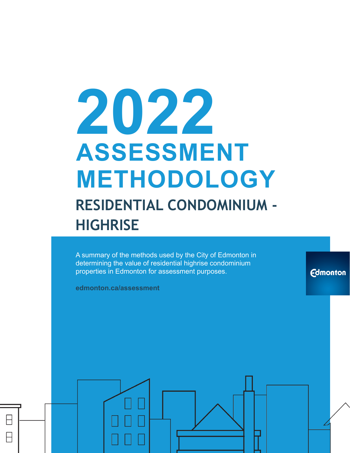# **2022 ASSESSMENT METHODOLOGY RESIDENTIAL CONDOMINIUM - HIGHRISE**

A summary of the methods used by the City of Edmonton in determining the value of residential highrise condominium properties in Edmonton for assessment purposes.

**Edmonton** 

**edmonton.ca/assessment**

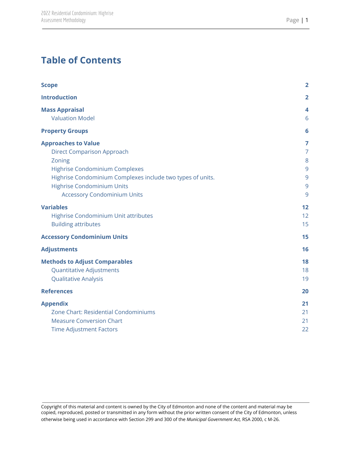# **Table of Contents**

| <b>Scope</b>                                                                                                                                                                                                                                                                                                                                          | $\overline{2}$                                    |
|-------------------------------------------------------------------------------------------------------------------------------------------------------------------------------------------------------------------------------------------------------------------------------------------------------------------------------------------------------|---------------------------------------------------|
| <b>Introduction</b>                                                                                                                                                                                                                                                                                                                                   | $\overline{\mathbf{2}}$                           |
| <b>Mass Appraisal</b><br><b>Valuation Model</b>                                                                                                                                                                                                                                                                                                       | 4<br>6                                            |
| <b>Property Groups</b>                                                                                                                                                                                                                                                                                                                                | 6                                                 |
| <b>Approaches to Value</b><br><b>Direct Comparison Approach</b><br>Zoning<br><b>Highrise Condominium Complexes</b><br>Highrise Condominium Complexes include two types of units.<br><b>Highrise Condominium Units</b><br><b>Accessory Condominium Units</b><br><b>Variables</b><br>Highrise Condominium Unit attributes<br><b>Building attributes</b> | 7<br>7<br>8<br>9<br>9<br>9<br>9<br>12<br>12<br>15 |
| <b>Accessory Condominium Units</b>                                                                                                                                                                                                                                                                                                                    | 15                                                |
| <b>Adjustments</b>                                                                                                                                                                                                                                                                                                                                    | 16                                                |
| <b>Methods to Adjust Comparables</b><br><b>Quantitative Adjustments</b><br>Qualitative Analysis<br><b>References</b>                                                                                                                                                                                                                                  | 18<br>18<br>19<br>20                              |
| <b>Appendix</b>                                                                                                                                                                                                                                                                                                                                       | 21                                                |
| Zone Chart: Residential Condominiums<br><b>Measure Conversion Chart</b><br><b>Time Adjustment Factors</b>                                                                                                                                                                                                                                             | 21<br>21<br>22                                    |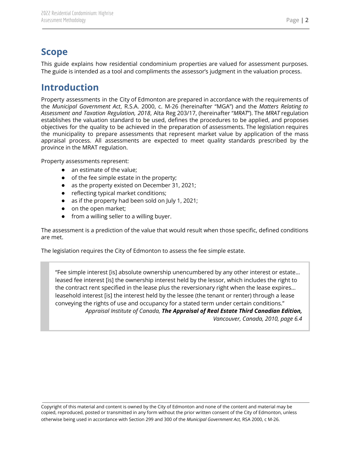### <span id="page-2-0"></span>**Scope**

This guide explains how residential condominium properties are valued for assessment purposes. The guide is intended as a tool and compliments the assessor's judgment in the valuation process.

### <span id="page-2-1"></span>**Introduction**

Property assessments in the City of Edmonton are prepared in accordance with the requirements of the *Municipal Government Act*, R.S.A. 2000, c. M-26 (hereinafter "MGA") and the *Matters Relating to Assessment and Taxation Regulation, 2018*, Alta Reg 203/17, (hereinafter "*MRAT*"). The *MRAT* regulation establishes the valuation standard to be used, defines the procedures to be applied, and proposes objectives for the quality to be achieved in the preparation of assessments. The legislation requires the municipality to prepare assessments that represent market value by application of the mass appraisal process. All assessments are expected to meet quality standards prescribed by the province in the MRAT regulation.

Property assessments represent:

- an estimate of the value;
- of the fee simple estate in the property;
- as the property existed on December 31, 2021;
- reflecting typical market conditions;
- as if the property had been sold on July 1, 2021;
- on the open market;
- from a willing seller to a willing buyer.

The assessment is a prediction of the value that would result when those specific, defined conditions are met.

The legislation requires the City of Edmonton to assess the fee simple estate.

"Fee simple interest [is] absolute ownership unencumbered by any other interest or estate… leased fee interest [is] the ownership interest held by the lessor, which includes the right to the contract rent specified in the lease plus the reversionary right when the lease expires… leasehold interest [is] the interest held by the lessee (the tenant or renter) through a lease conveying the rights of use and occupancy for a stated term under certain conditions." *Appraisal Institute of Canada, The Appraisal of Real Estate Third Canadian Edition,*

*Vancouver, Canada, 2010, page 6.4*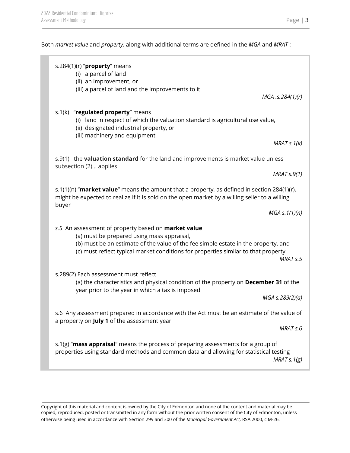Both *market value* and *property,* along with additional terms are defined in the *MGA* and *MRAT* :

|       | s.284(1)(r) " $proper$ y means<br>(i) a parcel of land<br>(ii) an improvement, or<br>(iii) a parcel of land and the improvements to it                                                                                                                                        | MGA .s.284(1)(r)     |
|-------|-------------------------------------------------------------------------------------------------------------------------------------------------------------------------------------------------------------------------------------------------------------------------------|----------------------|
|       | s.1(k) "regulated property" means<br>(i) land in respect of which the valuation standard is agricultural use value,<br>(ii) designated industrial property, or<br>(iii) machinery and equipment                                                                               |                      |
|       |                                                                                                                                                                                                                                                                               | MRATs.1(k)           |
|       | s.9(1) the <b>valuation standard</b> for the land and improvements is market value unless<br>subsection (2) applies                                                                                                                                                           |                      |
|       |                                                                                                                                                                                                                                                                               | MRAT S.9(1)          |
|       | s.1(1)(n) "market value" means the amount that a property, as defined in section 284(1)(r),<br>might be expected to realize if it is sold on the open market by a willing seller to a willing                                                                                 |                      |
| buyer |                                                                                                                                                                                                                                                                               | $MGA \simeq 1(1)(n)$ |
|       | s.5 An assessment of property based on market value<br>(a) must be prepared using mass appraisal,<br>(b) must be an estimate of the value of the fee simple estate in the property, and<br>(c) must reflect typical market conditions for properties similar to that property | MRAT <sub>s.5</sub>  |
|       | s.289(2) Each assessment must reflect<br>(a) the characteristics and physical condition of the property on December 31 of the<br>year prior to the year in which a tax is imposed                                                                                             | MGA s.289(2)(a)      |
|       | s.6 Any assessment prepared in accordance with the Act must be an estimate of the value of<br>a property on July 1 of the assessment year                                                                                                                                     | MRAT <sub>s.6</sub>  |
|       | s.1(g) "mass appraisal" means the process of preparing assessments for a group of<br>properties using standard methods and common data and allowing for statistical testing                                                                                                   | MRAT $s.1(g)$        |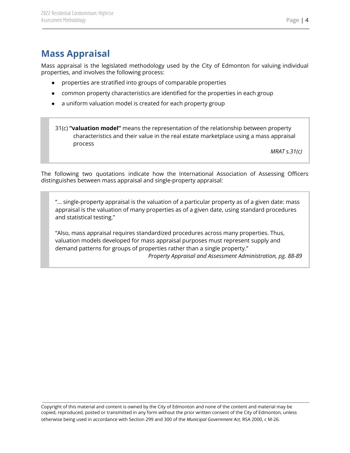# <span id="page-4-0"></span>**Mass Appraisal**

Mass appraisal is the legislated methodology used by the City of Edmonton for valuing individual properties, and involves the following process:

- properties are stratified into groups of comparable properties
- common property characteristics are identified for the properties in each group
- a uniform valuation model is created for each property group

31(c) **"valuation model"** means the representation of the relationship between property characteristics and their value in the real estate marketplace using a mass appraisal process

*MRAT s.31(c)*

The following two quotations indicate how the International Association of Assessing Officers distinguishes between mass appraisal and single-property appraisal:

"... single-property appraisal is the valuation of a particular property as of a given date: mass appraisal is the valuation of many properties as of a given date, using standard procedures and statistical testing."

"Also, mass appraisal requires standardized procedures across many properties. Thus, valuation models developed for mass appraisal purposes must represent supply and demand patterns for groups of properties rather than a single property."

*Property Appraisal and Assessment Administration, pg. 88-89*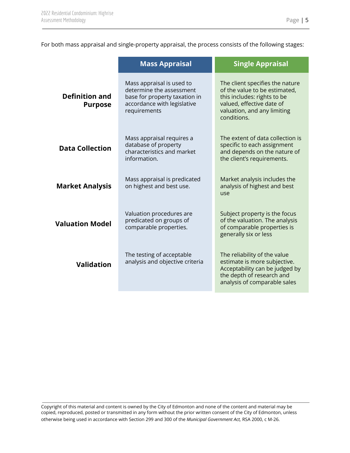For both mass appraisal and single-property appraisal, the process consists of the following stages:

|                                         | <b>Mass Appraisal</b>                                                                                                                 | <b>Single Appraisal</b>                                                                                                                                                    |
|-----------------------------------------|---------------------------------------------------------------------------------------------------------------------------------------|----------------------------------------------------------------------------------------------------------------------------------------------------------------------------|
| <b>Definition and</b><br><b>Purpose</b> | Mass appraisal is used to<br>determine the assessment<br>base for property taxation in<br>accordance with legislative<br>requirements | The client specifies the nature<br>of the value to be estimated,<br>this includes: rights to be<br>valued, effective date of<br>valuation, and any limiting<br>conditions. |
| <b>Data Collection</b>                  | Mass appraisal requires a<br>database of property<br>characteristics and market<br>information.                                       | The extent of data collection is<br>specific to each assignment<br>and depends on the nature of<br>the client's requirements.                                              |
| <b>Market Analysis</b>                  | Mass appraisal is predicated<br>on highest and best use.                                                                              | Market analysis includes the<br>analysis of highest and best<br>use                                                                                                        |
| <b>Valuation Model</b>                  | Valuation procedures are<br>predicated on groups of<br>comparable properties.                                                         | Subject property is the focus<br>of the valuation. The analysis<br>of comparable properties is<br>generally six or less                                                    |
| <b>Validation</b>                       | The testing of acceptable<br>analysis and objective criteria                                                                          | The reliability of the value<br>estimate is more subjective.<br>Acceptability can be judged by<br>the depth of research and<br>analysis of comparable sales                |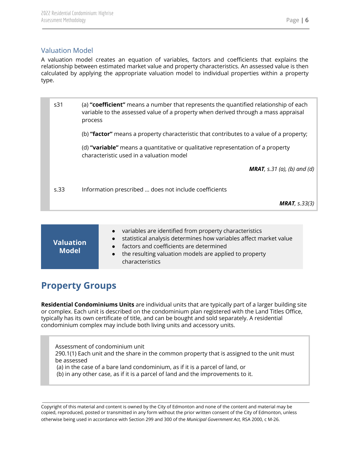### <span id="page-6-0"></span>Valuation Model

A valuation model creates an equation of variables, factors and coefficients that explains the relationship between estimated market value and property characteristics. An assessed value is then calculated by applying the appropriate valuation model to individual properties within a property type.

| s <sub>31</sub> | (a) "coefficient" means a number that represents the quantified relationship of each<br>variable to the assessed value of a property when derived through a mass appraisal<br>process |
|-----------------|---------------------------------------------------------------------------------------------------------------------------------------------------------------------------------------|
|                 | (b) "factor" means a property characteristic that contributes to a value of a property;                                                                                               |
|                 | (d) "variable" means a quantitative or qualitative representation of a property<br>characteristic used in a valuation model                                                           |
|                 | <b>MRAT</b> , s.31 (a), (b) and (d)                                                                                                                                                   |
| s.33            | Information prescribed  does not include coefficients                                                                                                                                 |
|                 | <b>MRAT</b> , $s.33(3)$                                                                                                                                                               |

| <b>Valuation</b><br><b>Model</b> | • variables are identified from property characteristics<br>• statistical analysis determines how variables affect market value<br>• factors and coefficients are determined<br>• the resulting valuation models are applied to property<br>characteristics |
|----------------------------------|-------------------------------------------------------------------------------------------------------------------------------------------------------------------------------------------------------------------------------------------------------------|
|----------------------------------|-------------------------------------------------------------------------------------------------------------------------------------------------------------------------------------------------------------------------------------------------------------|

### <span id="page-6-1"></span>**Property Groups**

**Residential Condominiums Units** are individual units that are typically part of a larger building site or complex. Each unit is described on the condominium plan registered with the Land Titles Office, typically has its own certificate of title, and can be bought and sold separately. A residential condominium complex may include both living units and accessory units.

Assessment of condominium unit 290.1(1) Each unit and the share in the common property that is assigned to the unit must be assessed (a) in the case of a bare land condominium, as if it is a parcel of land, or (b) in any other case, as if it is a parcel of land and the improvements to it.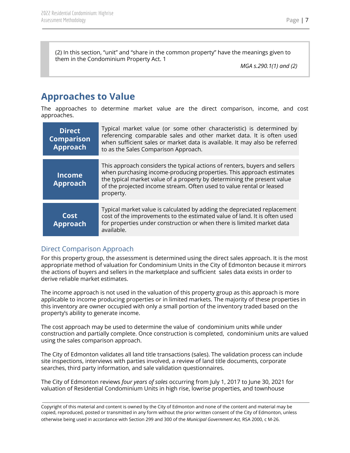(2) In this section, "unit" and "share in the common property" have the meanings given to them in the Condominium Property Act. 1

*MGA s.290.1(1) and (2)*

# <span id="page-7-0"></span>**Approaches to Value**

The approaches to determine market value are the direct comparison, income, and cost approaches.

| <b>Direct</b><br><b>Comparison</b><br>Approach | Typical market value (or some other characteristic) is determined by<br>referencing comparable sales and other market data. It is often used<br>when sufficient sales or market data is available. It may also be referred<br>to as the Sales Comparison Approach.                                                 |
|------------------------------------------------|--------------------------------------------------------------------------------------------------------------------------------------------------------------------------------------------------------------------------------------------------------------------------------------------------------------------|
| <b>Income</b><br><b>Approach</b>               | This approach considers the typical actions of renters, buyers and sellers<br>when purchasing income-producing properties. This approach estimates<br>the typical market value of a property by determining the present value<br>of the projected income stream. Often used to value rental or leased<br>property. |
| Cost<br><b>Approach</b>                        | Typical market value is calculated by adding the depreciated replacement<br>cost of the improvements to the estimated value of land. It is often used<br>for properties under construction or when there is limited market data<br>available.                                                                      |

### <span id="page-7-1"></span>Direct Comparison Approach

For this property group, the assessment is determined using the direct sales approach. It is the most appropriate method of valuation for Condominium Units in the City of Edmonton because it mirrors the actions of buyers and sellers in the marketplace and sufficient sales data exists in order to derive reliable market estimates.

The income approach is not used in the valuation of this property group as this approach is more applicable to income producing properties or in limited markets. The majority of these properties in this inventory are owner occupied with only a small portion of the inventory traded based on the property's ability to generate income.

The cost approach may be used to determine the value of condominium units while under construction and partially complete. Once construction is completed, condominium units are valued using the sales comparison approach.

The City of Edmonton validates all land title transactions (sales). The validation process can include site inspections, interviews with parties involved, a review of land title documents, corporate searches, third party information, and sale validation questionnaires.

The City of Edmonton reviews *four years of sales* occurring from July 1, 2017 to June 30, 2021 for valuation of Residential Condominium Units in high rise, lowrise properties, and townhouse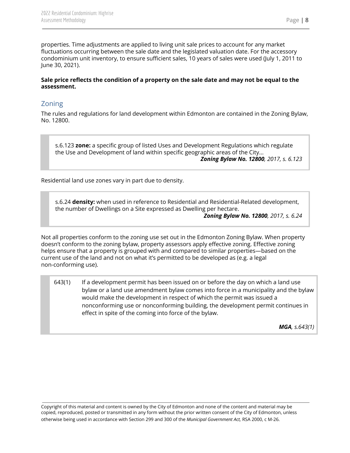properties. Time adjustments are applied to living unit sale prices to account for any market fluctuations occurring between the sale date and the legislated valuation date. For the accessory condominium unit inventory, to ensure sufficient sales, 10 years of sales were used (July 1, 2011 to June 30, 2021).

### Sale price reflects the condition of a property on the sale date and may not be equal to the **assessment.**

### <span id="page-8-0"></span>Zoning

The rules and regulations for land development within Edmonton are contained in the Zoning Bylaw, No. 12800.

s.6.123 **zone:** a specific group of listed Uses and Development Regulations which regulate the Use and Development of land within specific geographic areas of the City... *Zoning Bylaw No. 12800, 2017, s. 6.123*

Residential land use zones vary in part due to density.

s.6.24 **density:** when used in reference to Residential and Residential-Related development, the number of Dwellings on a Site expressed as Dwelling per hectare.

*Zoning Bylaw No. 12800, 2017, s. 6.24*

Not all properties conform to the zoning use set out in the Edmonton Zoning Bylaw. When property doesn't conform to the zoning bylaw, property assessors apply effective zoning. Effective zoning helps ensure that a property is grouped with and compared to similar properties—based on the current use of the land and not on what it's permitted to be developed as (e.g. a legal non-conforming use).

643(1) If a development permit has been issued on or before the day on which a land use bylaw or a land use amendment bylaw comes into force in a municipality and the bylaw would make the development in respect of which the permit was issued a nonconforming use or nonconforming building, the development permit continues in effect in spite of the coming into force of the bylaw.

*MGA, s.643(1)*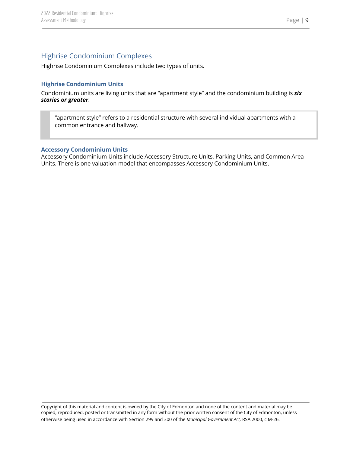### <span id="page-9-0"></span>Highrise Condominium Complexes

<span id="page-9-1"></span>Highrise Condominium Complexes include two types of units.

### <span id="page-9-2"></span>**Highrise Condominium Units**

Condominium units are living units that are "apartment style" and the condominium building is *six stories or greater*.

"apartment style" refers to a residential structure with several individual apartments with a common entrance and hallway.

### <span id="page-9-3"></span>**Accessory Condominium Units**

Accessory Condominium Units include Accessory Structure Units, Parking Units, and Common Area Units. There is one valuation model that encompasses Accessory Condominium Units.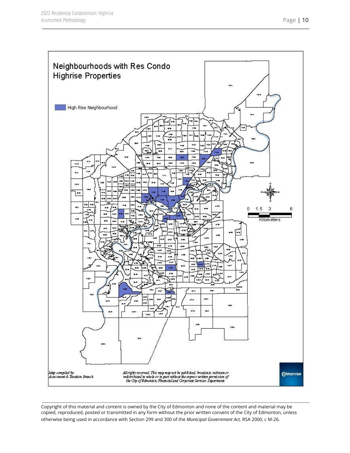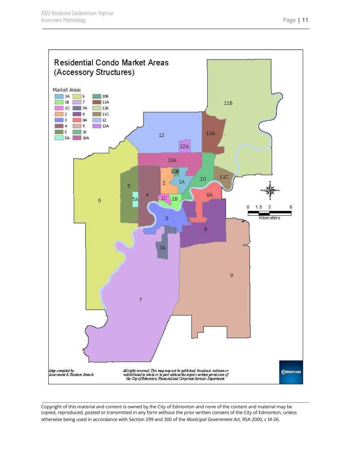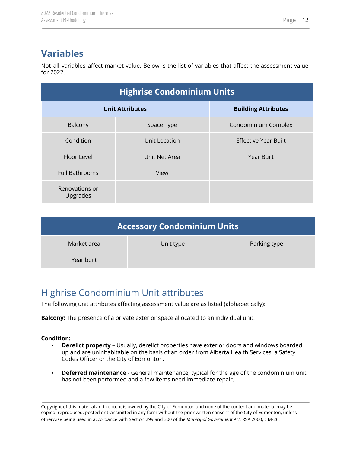# <span id="page-12-0"></span>**Variables**

Not all variables affect market value. Below is the list of variables that affect the assessment value for 2022.

| <b>Highrise Condominium Units</b> |               |                             |
|-----------------------------------|---------------|-----------------------------|
| <b>Unit Attributes</b>            |               | <b>Building Attributes</b>  |
| Balcony                           | Space Type    | Condominium Complex         |
| Condition                         | Unit Location | <b>Effective Year Built</b> |
| Floor Level                       | Unit Net Area | <b>Year Built</b>           |
| <b>Full Bathrooms</b>             | View          |                             |
| Renovations or<br>Upgrades        |               |                             |

| Accessory Condominium Units |           |              |
|-----------------------------|-----------|--------------|
| Market area                 | Unit type | Parking type |
| Year built                  |           |              |

# <span id="page-12-1"></span>Highrise Condominium Unit attributes

The following unit attributes affecting assessment value are as listed (alphabetically):

**Balcony:** The presence of a private exterior space allocated to an individual unit.

### **Condition:**

- **Derelict property** Usually, derelict properties have exterior doors and windows boarded up and are uninhabitable on the basis of an order from Alberta Health Services, a Safety Codes Officer or the City of Edmonton.
- **• Deferred maintenance** General maintenance, typical for the age of the condominium unit, has not been performed and a few items need immediate repair.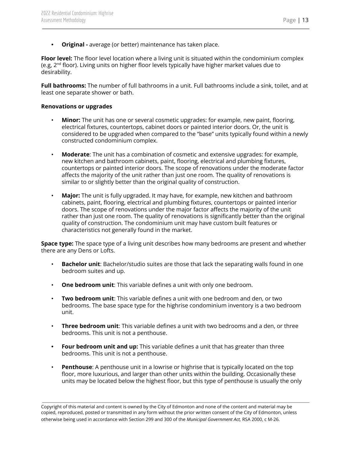**• Original -** average (or better) maintenance has taken place.

**Floor level:** The floor level location where a living unit is situated within the condominium complex (e.g, 2<sup>nd</sup> floor). Living units on higher floor levels typically have higher market values due to desirability.

**Full bathrooms:** The number of full bathrooms in a unit. Full bathrooms include a sink, toilet, and at least one separate shower or bath.

### **Renovations or upgrades**

- **Minor:** The unit has one or several cosmetic upgrades: for example, new paint, flooring, electrical fixtures, countertops, cabinet doors or painted interior doors. Or, the unit is considered to be upgraded when compared to the "base" units typically found within a newly constructed condominium complex.
- **Moderate**: The unit has a combination of cosmetic and extensive upgrades: for example, new kitchen and bathroom cabinets, paint, flooring, electrical and plumbing fixtures, countertops or painted interior doors. The scope of renovations under the moderate factor affects the majority of the unit rather than just one room. The quality of renovations is similar to or slightly better than the original quality of construction.
- **Major:** The unit is fully upgraded. It may have, for example, new kitchen and bathroom cabinets, paint, flooring, electrical and plumbing fixtures, countertops or painted interior doors. The scope of renovations under the major factor affects the majority of the unit rather than just one room. The quality of renovations is significantly better than the original quality of construction. The condominium unit may have custom built features or characteristics not generally found in the market.

**Space type:** The space type of a living unit describes how many bedrooms are present and whether there are any Dens or Lofts.

- **Bachelor unit**: Bachelor/studio suites are those that lack the separating walls found in one bedroom suites and up.
- **One bedroom unit**: This variable defines a unit with only one bedroom.
- **Two bedroom unit**: This variable defines a unit with one bedroom and den, or two bedrooms. The base space type for the highrise condominium inventory is a two bedroom unit.
- **Three bedroom unit**: This variable defines a unit with two bedrooms and a den, or three bedrooms. This unit is not a penthouse.
- **• Four bedroom unit and up:** This variable defines a unit that has greater than three bedrooms. This unit is not a penthouse.
- **Penthouse**: A penthouse unit in a lowrise or highrise that is typically located on the top floor, more luxurious, and larger than other units within the building. Occasionally these units may be located below the highest floor, but this type of penthouse is usually the only

Copyright of this material and content is owned by the City of Edmonton and none of the content and material may be copied, reproduced, posted or transmitted in any form without the prior written consent of the City of Edmonton, unless otherwise being used in accordance with Section 299 and 300 of the *Municipal Government Act,* RSA 2000, c M-26.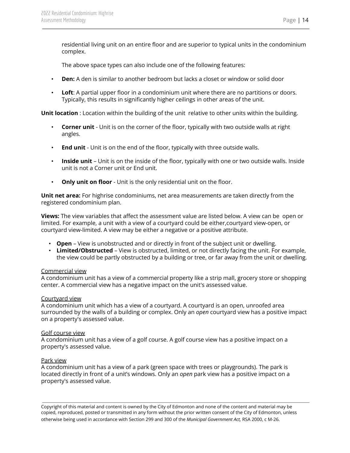residential living unit on an entire floor and are superior to typical units in the condominium complex.

The above space types can also include one of the following features:

- **Den:** A den is similar to another bedroom but lacks a closet or window or solid door
- **Loft**: A partial upper floor in a condominium unit where there are no partitions or doors. Typically, this results in significantly higher ceilings in other areas of the unit.

**Unit location** : Location within the building of the unit relative to other units within the building.

- **Corner unit** Unit is on the corner of the floor, typically with two outside walls at right angles.
- **End unit** Unit is on the end of the floor, typically with three outside walls.
- **Inside unit** Unit is on the inside of the floor, typically with one or two outside walls. Inside unit is not a Corner unit or End unit.
- **Only unit on floor** Unit is the only residential unit on the floor.

**Unit net area:** For highrise condominiums, net area measurements are taken directly from the registered condominium plan.

**Views:** The view variables that affect the assessment value are listed below. A view can be open or limited. For example, a unit with a view of a courtyard could be either,courtyard view-open, or courtyard view-limited. A view may be either a negative or a positive attribute.

- **Open** View is unobstructed and or directly in front of the subject unit or dwelling.
- **Limited/Obstructed** View is obstructed, limited, or not directly facing the unit. For example, the view could be partly obstructed by a building or tree, or far away from the unit or dwelling.

### Commercial view

A condominium unit has a view of a commercial property like a strip mall, grocery store or shopping center. A commercial view has a negative impact on the unit's assessed value.

### Courtyard view

A condominium unit which has a view of a courtyard. A courtyard is an open, unroofed area surrounded by the walls of a building or complex. Only an *open* courtyard view has a positive impact on a property's assessed value.

### Golf course view

A condominium unit has a view of a golf course. A golf course view has a positive impact on a property's assessed value.

### Park view

A condominium unit has a view of a park (green space with trees or playgrounds). The park is located directly in front of a unit's windows. Only an *open* park view has a positive impact on a property's assessed value.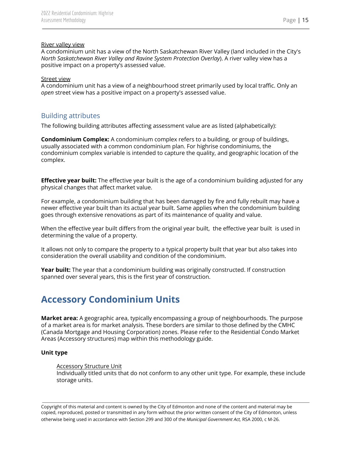### River valley view

A condominium unit has a view of the North Saskatchewan River Valley (land included in the City's *North Saskatchewan River Valley and Ravine System Protection Overlay*). A river valley view has a positive impact on a property's assessed value.

### Street view

A condominium unit has a view of a neighbourhood street primarily used by local traffic. Only an *open* street view has a positive impact on a property's assessed value.

### <span id="page-15-0"></span>Building attributes

The following building attributes affecting assessment value are as listed (alphabetically):

**Condominium Complex:** A condominium complex refers to a building, or group of buildings, usually associated with a common condominium plan. For highrise condominiums, the condominium complex variable is intended to capture the quality, and geographic location of the complex.

**Effective year built:** The effective year built is the age of a condominium building adjusted for any physical changes that affect market value.

For example, a condominium building that has been damaged by fire and fully rebuilt may have a newer effective year built than its actual year built. Same applies when the condominium building goes through extensive renovations as part of its maintenance of quality and value.

When the effective year built differs from the original year built, the effective year built is used in determining the value of a property.

It allows not only to compare the property to a typical property built that year but also takes into consideration the overall usability and condition of the condominium.

**Year built:** The year that a condominium building was originally constructed. If construction spanned over several years, this is the first year of construction.

# <span id="page-15-1"></span>**Accessory Condominium Units**

**Market area:** A geographic area, typically encompassing a group of neighbourhoods. The purpose of a market area is for market analysis. These borders are similar to those defined by the CMHC (Canada Mortgage and Housing Corporation) zones. Please refer to the Residential Condo Market Areas (Accessory structures) map within this methodology guide.

### **Unit type**

### Accessory Structure Unit

Individually titled units that do not conform to any other unit type. For example, these include storage units.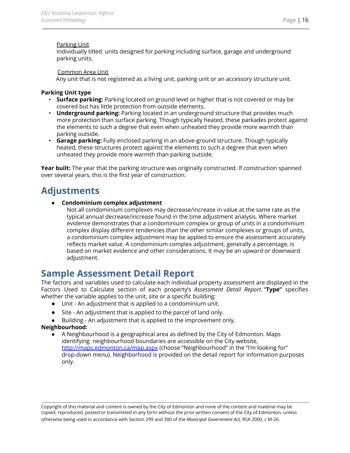#### Parking Unit

Individually titled units designed for parking including surface, garage and underground parking units.

#### Common Area Unit

Any unit that is not registered as a living unit, parking unit or an accessory structure unit.

#### **Parking Unit type**

- **Surface parking:** Parking located on ground level or higher that is not covered or may be covered but has little protection from outside elements.
- **Underground parking:** Parking located in an underground structure that provides much more protection than surface parking. Though typically heated, these parkades protect against the elements to such a degree that even when unheated they provide more warmth than parking outside.
- **Garage parking:** Fully enclosed parking in an above-ground structure. Though typically heated, these structures protect against the elements to such a degree that even when unheated they provide more warmth than parking outside.

**Year built:** The year that the parking structure was originally constructed. If construction spanned over several years, this is the first year of construction.

### <span id="page-16-0"></span>**Adjustments**

### ● **Condominium complex adjustment**

Not all condominium complexes may decrease/increase in value at the same rate as the typical annual decrease/increase found in the time adjustment analysis. Where market evidence demonstrates that a condominium complex or group of units in a condominium complex display different tendencies than the other similar complexes or groups of units, a condominium complex adjustment may be applied to ensure the assessment accurately reflects market value. A condominium complex adjustment, generally a percentage, is based on market evidence and other considerations. It may be an upward or downward adjustment.

### **Sample Assessment Detail Report**

The factors and variables used to calculate each individual property assessment are displayed in the Factors Used to Calculate section of each property's *Assessment Detail Report*. "**Type"** specifies whether the variable applies to the unit, site or a specific building:

- Unit An adjustment that is applied to a condominium unit.
- Site An adjustment that is applied to the parcel of land only.
- Building An adjustment that is applied to the improvement only.

### **Neighbourhood:**

● A Neighbourhood is a geographical area as defined by the City of Edmonton. Maps identifying neighbourhood boundaries are accessible on the City website, <http://maps.edmonton.ca/map.aspx> (choose "Neighbourhood" in the "I'm looking for" drop-down menu). Neighborhood is provided on the detail report for information purposes only.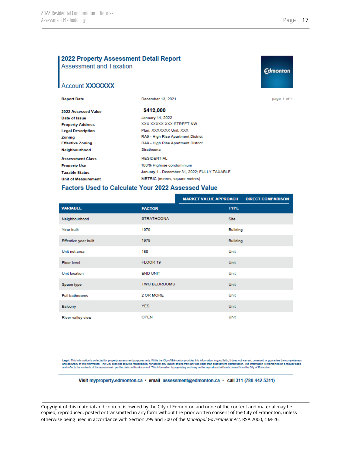**Edmonton** 

### 2022 Property Assessment Detail Report **Assessment and Taxation**

### **Account XXXXXXX**

| <b>Report Date</b>         | December 13, 2021                            | page 1 of |
|----------------------------|----------------------------------------------|-----------|
| 2022 Assessed Value        | \$412,000                                    |           |
| Date of Issue              | January 14, 2022                             |           |
| <b>Property Address</b>    | XXX XXXXX XXX STREET NW                      |           |
| <b>Legal Description</b>   | Plan: XXXXXXX Unit: XXX                      |           |
| Zoning                     | RA9 - High Rise Apartment District           |           |
| <b>Effective Zoning</b>    | RA9 - High Rise Apartment District           |           |
| Neighbourhood              | Strathcona                                   |           |
| <b>Assessment Class</b>    | <b>RESIDENTIAL</b>                           |           |
| <b>Property Use</b>        | 100% Highrise condominium                    |           |
| Taxable Status             | January 1 - December 31, 2022; FULLY TAXABLE |           |
| <b>Unit of Measurement</b> | METRIC (metres, square metres)               |           |
|                            |                                              |           |

#### **Factors Used to Calculate Your 2022 Assessed Value**

|                       |                     | <b>MARKET VALUE APPROACH</b> | <b>DIRECT COMPARISON</b> |
|-----------------------|---------------------|------------------------------|--------------------------|
| <b>VARIABLE</b>       | <b>FACTOR</b>       | <b>TYPE</b>                  |                          |
| Neighbourhood         | <b>STRATHCONA</b>   | <b>Site</b>                  |                          |
| Year built            | 1979                |                              | <b>Building</b>          |
| Effective year built  | 1979                |                              | <b>Building</b>          |
| Unit net area         | 180                 | Unit                         |                          |
| Floor level           | FLOOR 19            | Unit                         |                          |
| Unit location         | <b>END UNIT</b>     | Unit                         |                          |
| Space type            | <b>TWO BEDROOMS</b> | <b>Unit</b>                  |                          |
| <b>Full bathrooms</b> | 2 OR MORE           | Unit                         |                          |
| Balcony               | <b>YES</b>          | Unit                         |                          |
| River valley view     | <b>OPEN</b>         | Unit                         |                          |

Legal: This information is collected for property assessment purposes only. While the City of Edmonton provides this information in good faith, it does not warrant, covenant, or guarantee the completeness<br>and accuracy of t

Visit myproperty.edmonton.ca · email assessment@edmonton.ca · call 311 (780-442-5311)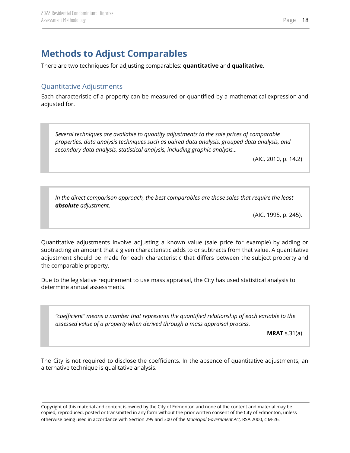# <span id="page-18-0"></span>**Methods to Adjust Comparables**

There are two techniques for adjusting comparables: **quantitative** and **qualitative**.

### <span id="page-18-1"></span>Quantitative Adjustments

Each characteristic of a property can be measured or quantified by a mathematical expression and adjusted for.

*Several techniques are available to quantify adjustments to the sale prices of comparable properties: data analysis techniques such as paired data analysis, grouped data analysis, and secondary data analysis, statistical analysis, including graphic analysis…*

(AIC, 2010, p. 14.2)

*In the direct comparison approach, the best comparables are those sales that require the least absolute adjustment.*

(AIC, 1995, p. 245).

Quantitative adjustments involve adjusting a known value (sale price for example) by adding or subtracting an amount that a given characteristic adds to or subtracts from that value. A quantitative adjustment should be made for each characteristic that differs between the subject property and the comparable property.

Due to the legislative requirement to use mass appraisal, the City has used statistical analysis to determine annual assessments.

*"coefficient" means a number that represents the quantified relationship of each variable to the assessed value of a property when derived through a mass appraisal process.*

**MRAT** s.31(a)

The City is not required to disclose the coefficients. In the absence of quantitative adjustments, an alternative technique is qualitative analysis.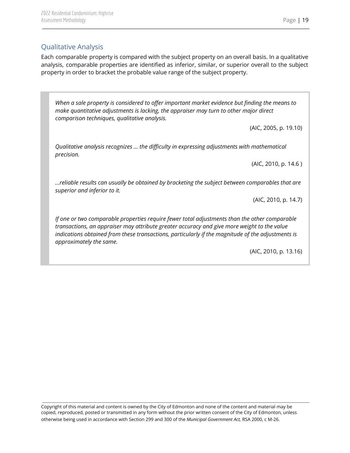### <span id="page-19-0"></span>Qualitative Analysis

Each comparable property is compared with the subject property on an overall basis. In a qualitative analysis, comparable properties are identified as inferior, similar, or superior overall to the subject property in order to bracket the probable value range of the subject property.

*When a sale property is considered to offer important market evidence but finding the means to make quantitative adjustments is lacking, the appraiser may turn to other major direct comparison techniques, qualitative analysis.*

(AIC, 2005, p. 19.10)

*Qualitative analysis recognizes … the difficulty in expressing adjustments with mathematical precision.*

(AIC, 2010, p. 14.6 )

*…reliable results can usually be obtained by bracketing the subject between comparables that are superior and inferior to it.*

(AIC, 2010, p. 14.7)

*If one or two comparable properties require fewer total adjustments than the other comparable transactions, an appraiser may attribute greater accuracy and give more weight to the value indications obtained from these transactions, particularly if the magnitude of the adjustments is approximately the same.*

(AIC, 2010, p. 13.16)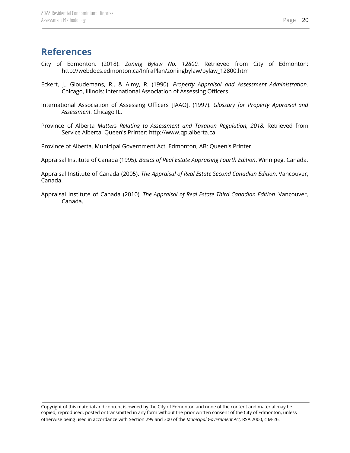### <span id="page-20-0"></span>**References**

- City of Edmonton. (2018). *Zoning Bylaw No. 12800.* Retrieved from City of Edmonton: http://webdocs.edmonton.ca/InfraPlan/zoningbylaw/bylaw\_12800.htm
- Eckert, J., Gloudemans, R., & Almy, R. (1990). *Property Appraisal and Assessment Administration.* Chicago, Illinois: International Association of Assessing Officers.
- International Association of Assessing Officers [IAAO]. (1997). *Glossary for Property Appraisal and Assessment.* Chicago IL.
- Province of Alberta *Matters Relating to Assessment and Taxation Regulation, 2018.* Retrieved from Service Alberta, Queen's Printer: http://www.qp.alberta.ca

Province of Alberta. Municipal Government Act. Edmonton, AB: Queen's Printer.

Appraisal Institute of Canada (1995). *Basics of Real Estate Appraising Fourth Edition*. Winnipeg, Canada.

Appraisal Institute of Canada (2005). *The Appraisal of Real Estate Second Canadian Edition*. Vancouver, Canada.

Appraisal Institute of Canada (2010). *The Appraisal of Real Estate Third Canadian Edition*. Vancouver, Canada.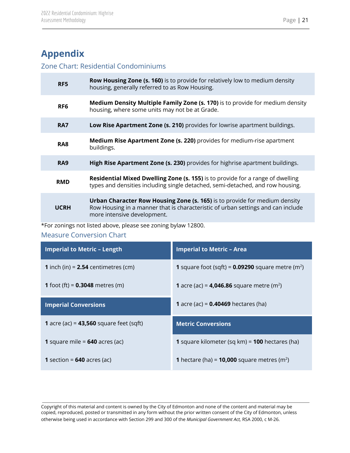# <span id="page-21-0"></span>**Appendix**

### <span id="page-21-1"></span>Zone Chart: Residential Condominiums

| RF <sub>5</sub> | <b>Row Housing Zone (s. 160)</b> is to provide for relatively low to medium density<br>housing, generally referred to as Row Housing.                                                         |
|-----------------|-----------------------------------------------------------------------------------------------------------------------------------------------------------------------------------------------|
| RF <sub>6</sub> | Medium Density Multiple Family Zone (s. 170) is to provide for medium density<br>housing, where some units may not be at Grade.                                                               |
| RA7             | Low Rise Apartment Zone (s. 210) provides for lowrise apartment buildings.                                                                                                                    |
| RA <sub>8</sub> | <b>Medium Rise Apartment Zone (s. 220)</b> provides for medium-rise apartment<br>buildings.                                                                                                   |
| RA <sub>9</sub> | High Rise Apartment Zone (s. 230) provides for highrise apartment buildings.                                                                                                                  |
| <b>RMD</b>      | Residential Mixed Dwelling Zone (s. 155) is to provide for a range of dwelling<br>types and densities including single detached, semi-detached, and row housing.                              |
| <b>UCRH</b>     | Urban Character Row Housing Zone (s. 165) is to provide for medium density<br>Row Housing in a manner that is characteristic of urban settings and can include<br>more intensive development. |

\*For zonings not listed above, please see zoning bylaw 12800.

### <span id="page-21-2"></span>Measure Conversion Chart

| <b>Imperial to Metric - Length</b>               | <b>Imperial to Metric - Area</b>                                       |
|--------------------------------------------------|------------------------------------------------------------------------|
| <b>1</b> inch (in) = $2.54$ centimetres (cm)     | <b>1</b> square foot (sqft) = $0.09290$ square metre (m <sup>2</sup> ) |
| <b>1</b> foot (ft) = $0.3048$ metres (m)         | <b>1</b> acre (ac) = <b>4,046.86</b> square metre (m <sup>2</sup> )    |
| <b>Imperial Conversions</b>                      | <b>1</b> acre (ac) = $0.40469$ hectares (ha)                           |
| <b>1</b> acre (ac) = $43,560$ square feet (sqft) | <b>Metric Conversions</b>                                              |
| 1 square mile = $640$ acres (ac)                 | 1 square kilometer (sq km) = 100 hectares (ha)                         |
| <b>1</b> section = $640$ acres (ac)              | <b>1</b> hectare (ha) = <b>10,000</b> square metres (m <sup>2</sup> )  |